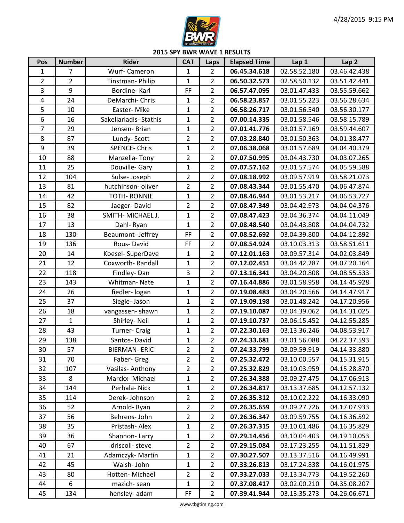

| Pos            | <b>Number</b>  | <b>Rider</b>           | <b>CAT</b>     | Laps           | <b>Elapsed Time</b> | Lap 1        | Lap <sub>2</sub> |
|----------------|----------------|------------------------|----------------|----------------|---------------------|--------------|------------------|
| $\mathbf{1}$   | $\overline{7}$ | Wurf- Cameron          | 1              | $\overline{2}$ | 06.45.34.618        | 02.58.52.180 | 03.46.42.438     |
| $\overline{2}$ | $\overline{2}$ | Tinstman-Philip        | $\mathbf{1}$   | $\overline{2}$ | 06.50.32.573        | 02.58.50.132 | 03.51.42.441     |
| 3              | 9              | Bordine-Karl           | FF             | $\overline{2}$ | 06.57.47.095        | 03.01.47.433 | 03.55.59.662     |
| $\overline{4}$ | 24             | DeMarchi- Chris        | $\mathbf{1}$   | $\overline{2}$ | 06.58.23.857        | 03.01.55.223 | 03.56.28.634     |
| 5              | 10             | Easter-Mike            | $\mathbf{1}$   | $\overline{2}$ | 06.58.26.717        | 03.01.56.540 | 03.56.30.177     |
| 6              | 16             | Sakellariadis- Stathis | $\mathbf{1}$   | $\overline{2}$ | 07.00.14.335        | 03.01.58.546 | 03.58.15.789     |
| $\overline{7}$ | 29             | Jensen-Brian           | $\mathbf 1$    | $\overline{2}$ | 07.01.41.776        | 03.01.57.169 | 03.59.44.607     |
| 8              | 87             | Lundy-Scott            | $\overline{2}$ | $\overline{2}$ | 07.03.28.840        | 03.01.50.363 | 04.01.38.477     |
| 9              | 39             | <b>SPENCE-Chris</b>    | $\mathbf{1}$   | $\overline{2}$ | 07.06.38.068        | 03.01.57.689 | 04.04.40.379     |
| 10             | 88             | Manzella-Tony          | $\overline{2}$ | $\overline{2}$ | 07.07.50.995        | 03.04.43.730 | 04.03.07.265     |
| 11             | 25             | Douville- Gary         | $\mathbf{1}$   | $\overline{2}$ | 07.07.57.162        | 03.01.57.574 | 04.05.59.588     |
| 12             | 104            | Sulse-Joseph           | $\overline{2}$ | $\overline{2}$ | 07.08.18.992        | 03.09.57.919 | 03.58.21.073     |
| 13             | 81             | hutchinson- oliver     | $\overline{2}$ | $\overline{2}$ | 07.08.43.344        | 03.01.55.470 | 04.06.47.874     |
| 14             | 42             | <b>TOTH- RONNIE</b>    | $\mathbf 1$    | $\overline{2}$ | 07.08.46.944        | 03.01.53.217 | 04.06.53.727     |
| 15             | 82             | Jaeger-David           | $\overline{2}$ | $\overline{2}$ | 07.08.47.349        | 03.04.42.973 | 04.04.04.376     |
| 16             | 38             | SMITH- MICHAEL J.      | $\mathbf{1}$   | $\overline{2}$ | 07.08.47.423        | 03.04.36.374 | 04.04.11.049     |
| 17             | 13             | Dahl-Ryan              | $\mathbf{1}$   | $\overline{2}$ | 07.08.48.540        | 03.04.43.808 | 04.04.04.732     |
| 18             | 130            | Beaumont- Jeffrey      | FF             | $\overline{2}$ | 07.08.52.692        | 03.04.39.800 | 04.04.12.892     |
| 19             | 136            | Rous-David             | FF             | $\overline{2}$ | 07.08.54.924        | 03.10.03.313 | 03.58.51.611     |
| 20             | 14             | Koesel- SuperDave      | $\mathbf{1}$   | $\overline{2}$ | 07.12.01.163        | 03.09.57.314 | 04.02.03.849     |
| 21             | 12             | Coxworth-Randall       | $\mathbf{1}$   | $\overline{2}$ | 07.12.02.451        | 03.04.42.287 | 04.07.20.164     |
| 22             | 118            | Findley-Dan            | 3              | $\overline{2}$ | 07.13.16.341        | 03.04.20.808 | 04.08.55.533     |
| 23             | 143            | Whitman-Nate           | $\mathbf{1}$   | $\overline{2}$ | 07.16.44.886        | 03.01.58.958 | 04.14.45.928     |
| 24             | 26             | fiedler- logan         | $\mathbf{1}$   | $\overline{2}$ | 07.19.08.483        | 03.04.20.566 | 04.14.47.917     |
| 25             | 37             | Siegle- Jason          | $\mathbf 1$    | $\overline{2}$ | 07.19.09.198        | 03.01.48.242 | 04.17.20.956     |
| 26             | 18             | vangassen-shawn        | $\mathbf{1}$   | $\overline{2}$ | 07.19.10.087        | 03.04.39.062 | 04.14.31.025     |
| 27             | $\mathbf{1}$   | Shirley-Neil           | $\mathbf{1}$   | $\overline{2}$ | 07.19.10.737        | 03.06.15.452 | 04.12.55.285     |
| 28             | 43             | <b>Turner- Craig</b>   | $\mathbf{1}$   | $\overline{2}$ | 07.22.30.163        | 03.13.36.246 | 04.08.53.917     |
| 29             | 138            | Santos-David           | $\mathbf 1$    | $\overline{2}$ | 07.24.33.681        | 03.01.56.088 | 04.22.37.593     |
| 30             | 57             | <b>BIERMAN-ERIC</b>    | $\overline{2}$ | $\overline{2}$ | 07.24.33.799        | 03.09.59.919 | 04.14.33.880     |
| 31             | 70             | Faber- Greg            | 2              | $\overline{2}$ | 07.25.32.472        | 03.10.00.557 | 04.15.31.915     |
| 32             | 107            | Vasilas-Anthony        | $\overline{2}$ | $\overline{2}$ | 07.25.32.829        | 03.10.03.959 | 04.15.28.870     |
| 33             | 8              | Marckx-Michael         | 1              | $\overline{2}$ | 07.26.34.388        | 03.09.27.475 | 04.17.06.913     |
| 34             | 144            | Perhala-Nick           | $\mathbf{1}$   | $\overline{2}$ | 07.26.34.817        | 03.13.37.685 | 04.12.57.132     |
| 35             | 114            | Derek-Johnson          | $\overline{2}$ | $\overline{2}$ | 07.26.35.312        | 03.10.02.222 | 04.16.33.090     |
| 36             | 52             | Arnold-Ryan            | 2              | $\overline{2}$ | 07.26.35.659        | 03.09.27.726 | 04.17.07.933     |
| 37             | 56             | Behrens- John          | $\overline{2}$ | $\overline{2}$ | 07.26.36.347        | 03.09.59.755 | 04.16.36.592     |
| 38             | 35             | Pristash-Alex          | 1              | $\overline{2}$ | 07.26.37.315        | 03.10.01.486 | 04.16.35.829     |
| 39             | 36             | Shannon-Larry          | $\mathbf{1}$   | $\overline{2}$ | 07.29.14.456        | 03.10.04.403 | 04.19.10.053     |
| 40             | 67             | driscoll-steve         | $\overline{2}$ | $\overline{2}$ | 07.29.15.084        | 03.17.23.255 | 04.11.51.829     |
| 41             | 21             | Adamczyk-Martin        | 1              | $\overline{2}$ | 07.30.27.507        | 03.13.37.516 | 04.16.49.991     |
| 42             | 45             | Walsh-John             | $\mathbf{1}$   | $\overline{2}$ | 07.33.26.813        | 03.17.24.838 | 04.16.01.975     |
| 43             | 80             | Hotten-Michael         | $\overline{2}$ | $\overline{2}$ | 07.33.27.033        | 03.13.34.773 | 04.19.52.260     |
| 44             | 6              | mazich-sean            | $\mathbf 1$    | $\overline{2}$ | 07.37.08.417        | 03.02.00.210 | 04.35.08.207     |
| 45             | 134            | hensley- adam          | FF             | $\overline{2}$ | 07.39.41.944        | 03.13.35.273 | 04.26.06.671     |

www.tbgtiming.com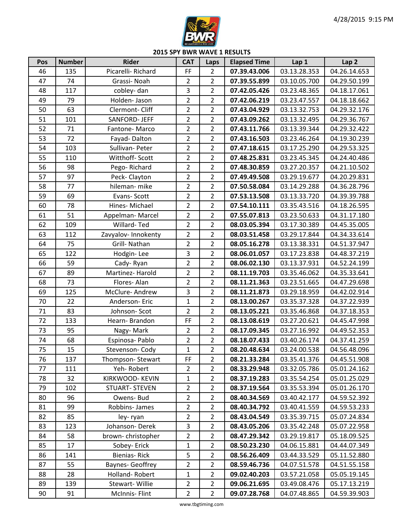

| Pos | <b>Number</b> | <b>Rider</b>           | <b>CAT</b>              | Laps           | <b>Elapsed Time</b> | Lap 1        | Lap <sub>2</sub> |
|-----|---------------|------------------------|-------------------------|----------------|---------------------|--------------|------------------|
| 46  | 135           | Picarelli-Richard      | FF                      | $\overline{2}$ | 07.39.43.006        | 03.13.28.353 | 04.26.14.653     |
| 47  | 74            | Grassi-Noah            | 2                       | $\overline{2}$ | 07.39.55.899        | 03.10.05.700 | 04.29.50.199     |
| 48  | 117           | cobley-dan             | 3                       | $\overline{2}$ | 07.42.05.426        | 03.23.48.365 | 04.18.17.061     |
| 49  | 79            | Holden-Jason           | $\overline{2}$          | $\overline{2}$ | 07.42.06.219        | 03.23.47.557 | 04.18.18.662     |
| 50  | 63            | Clermont-Cliff         | 2                       | $\overline{2}$ | 07.43.04.929        | 03.13.32.753 | 04.29.32.176     |
| 51  | 101           | SANFORD- JEFF          | $\overline{2}$          | $\overline{2}$ | 07.43.09.262        | 03.13.32.495 | 04.29.36.767     |
| 52  | 71            | Fantone-Marco          | $\overline{2}$          | $\overline{2}$ | 07.43.11.766        | 03.13.39.344 | 04.29.32.422     |
| 53  | 72            | Fayad-Dalton           | $\overline{\mathbf{c}}$ | $\overline{2}$ | 07.43.16.503        | 03.23.46.264 | 04.19.30.239     |
| 54  | 103           | Sullivan-Peter         | $\overline{2}$          | $\overline{2}$ | 07.47.18.615        | 03.17.25.290 | 04.29.53.325     |
| 55  | 110           | Witthoff- Scott        | $\overline{2}$          | $\overline{2}$ | 07.48.25.831        | 03.23.45.345 | 04.24.40.486     |
| 56  | 98            | Pego-Richard           | 2                       | $\overline{2}$ | 07.48.30.859        | 03.27.20.357 | 04.21.10.502     |
| 57  | 97            | Peck-Clayton           | $\overline{2}$          | $\overline{2}$ | 07.49.49.508        | 03.29.19.677 | 04.20.29.831     |
| 58  | 77            | hileman-mike           | $\overline{2}$          | $\overline{2}$ | 07.50.58.084        | 03.14.29.288 | 04.36.28.796     |
| 59  | 69            | Evans-Scott            | $\overline{2}$          | $\overline{2}$ | 07.53.13.508        | 03.13.33.720 | 04.39.39.788     |
| 60  | 78            | Hines-Michael          | $\overline{2}$          | $\overline{2}$ | 07.54.10.111        | 03.35.43.516 | 04.18.26.595     |
| 61  | 51            | Appelman-Marcel        | $\overline{2}$          | $\overline{2}$ | 07.55.07.813        | 03.23.50.633 | 04.31.17.180     |
| 62  | 109           | Willard-Ted            | $\overline{2}$          | $\overline{2}$ | 08.03.05.394        | 03.17.30.389 | 04.45.35.005     |
| 63  | 112           | Zavyalov-Innokenty     | $\overline{2}$          | $\overline{2}$ | 08.03.51.458        | 03.29.17.844 | 04.34.33.614     |
| 64  | 75            | Grill- Nathan          | $\overline{2}$          | $\overline{2}$ | 08.05.16.278        | 03.13.38.331 | 04.51.37.947     |
| 65  | 122           | Hodgin-Lee             | 3                       | $\overline{2}$ | 08.06.01.057        | 03.17.23.838 | 04.48.37.219     |
| 66  | 59            | Cady-Ryan              | $\overline{\mathbf{c}}$ | $\overline{2}$ | 08.06.02.130        | 03.13.37.931 | 04.52.24.199     |
| 67  | 89            | Martinez-Harold        | $\overline{2}$          | $\overline{2}$ | 08.11.19.703        | 03.35.46.062 | 04.35.33.641     |
| 68  | 73            | Flores-Alan            | $\overline{2}$          | $\overline{2}$ | 08.11.21.363        | 03.23.51.665 | 04.47.29.698     |
| 69  | 125           | McClure-Andrew         | 3                       | $\overline{2}$ | 08.11.21.873        | 03.29.18.959 | 04.42.02.914     |
| 70  | 22            | Anderson-Eric          | $\mathbf{1}$            | $\overline{2}$ | 08.13.00.267        | 03.35.37.328 | 04.37.22.939     |
| 71  | 83            | Johnson-Scot           | $\overline{2}$          | $\overline{2}$ | 08.13.05.221        | 03.35.46.868 | 04.37.18.353     |
| 72  | 133           | Hearn-Brandon          | FF                      | $\overline{2}$ | 08.13.08.619        | 03.27.20.621 | 04.45.47.998     |
| 73  | 95            | Nagy-Mark              | $\overline{2}$          | $\overline{2}$ | 08.17.09.345        | 03.27.16.992 | 04.49.52.353     |
| 74  | 68            | Espinosa- Pablo        | $\overline{2}$          | $\overline{2}$ | 08.18.07.433        | 03.40.26.174 | 04.37.41.259     |
| 75  | 15            | Stevenson-Cody         | $\overline{1}$          | $\overline{2}$ | 08.20.48.634        | 03.24.00.538 | 04.56.48.096     |
| 76  | 137           | Thompson-Stewart       | FF                      | 2              | 08.21.33.284        | 03.35.41.376 | 04.45.51.908     |
| 77  | 111           | Yeh-Robert             | $\overline{2}$          | $\overline{2}$ | 08.33.29.948        | 03.32.05.786 | 05.01.24.162     |
| 78  | 32            | KIRKWOOD- KEVIN        | 1                       | $\overline{2}$ | 08.37.19.283        | 03.35.54.254 | 05.01.25.029     |
| 79  | 102           | <b>STUART- STEVEN</b>  | $\overline{2}$          | $\overline{2}$ | 08.37.19.564        | 03.35.53.394 | 05.01.26.170     |
| 80  | 96            | Owens- Bud             | $\overline{2}$          | $\overline{2}$ | 08.40.34.569        | 03.40.42.177 | 04.59.52.392     |
| 81  | 99            | Robbins-James          | 2                       | $\overline{2}$ | 08.40.34.792        | 03.40.41.559 | 04.59.53.233     |
| 82  | 85            | ley-ryan               | 2                       | $\overline{2}$ | 08.43.04.549        | 03.35.39.715 | 05.07.24.834     |
| 83  | 123           | Johanson-Derek         | 3                       | 2              | 08.43.05.206        | 03.35.42.248 | 05.07.22.958     |
| 84  | 58            | brown-christopher      | 2                       | $\overline{2}$ | 08.47.29.342        | 03.29.19.817 | 05.18.09.525     |
| 85  | 17            | Sobey-Erick            | 1                       | $\overline{2}$ | 08.50.23.230        | 04.06.15.881 | 04.44.07.349     |
| 86  | 141           | Bienias-Rick           | 5                       | $\overline{2}$ | 08.56.26.409        | 03.44.33.529 | 05.11.52.880     |
| 87  | 55            | <b>Baynes-Geoffrey</b> | 2                       | $\overline{2}$ | 08.59.46.736        | 04.07.51.578 | 04.51.55.158     |
| 88  | 28            | Holland-Robert         | 1                       | $\overline{2}$ | 09.02.40.203        | 03.57.21.058 | 05.05.19.145     |
| 89  | 139           | Stewart-Willie         | $\overline{2}$          | $\overline{2}$ | 09.06.21.695        | 03.49.08.476 | 05.17.13.219     |
| 90  | 91            | McInnis-Flint          | 2                       | $\overline{2}$ | 09.07.28.768        | 04.07.48.865 | 04.59.39.903     |

www.tbgtiming.com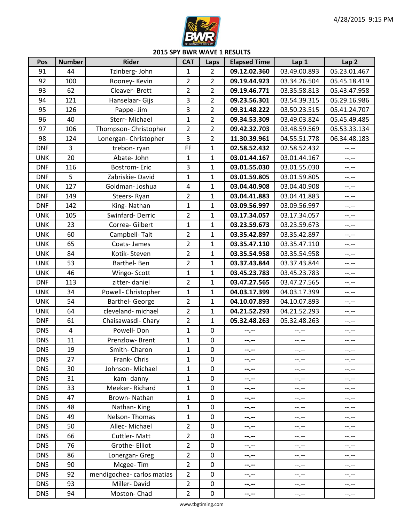

| Pos        | <b>Number</b>  | <b>Rider</b>               | <b>CAT</b>     | Laps             | <b>Elapsed Time</b> | Lap 1        | Lap <sub>2</sub> |
|------------|----------------|----------------------------|----------------|------------------|---------------------|--------------|------------------|
| 91         | 44             | Tzinberg- John             | 1              | $\overline{2}$   | 09.12.02.360        | 03.49.00.893 | 05.23.01.467     |
| 92         | 100            | Rooney-Kevin               | $\overline{2}$ | $\overline{2}$   | 09.19.44.923        | 03.34.26.504 | 05.45.18.419     |
| 93         | 62             | Cleaver-Brett              | 2              | $\overline{2}$   | 09.19.46.771        | 03.35.58.813 | 05.43.47.958     |
| 94         | 121            | Hanselaar- Gijs            | 3              | $\overline{2}$   | 09.23.56.301        | 03.54.39.315 | 05.29.16.986     |
| 95         | 126            | Pappe- Jim                 | 3              | $\overline{2}$   | 09.31.48.222        | 03.50.23.515 | 05.41.24.707     |
| 96         | 40             | Sterr-Michael              | $\mathbf{1}$   | $\overline{2}$   | 09.34.53.309        | 03.49.03.824 | 05.45.49.485     |
| 97         | 106            | Thompson- Christopher      | $\overline{2}$ | $\overline{2}$   | 09.42.32.703        | 03.48.59.569 | 05.53.33.134     |
| 98         | 124            | Lonergan- Christopher      | 3              | $\overline{2}$   | 11.30.39.961        | 04.55.51.778 | 06.34.48.183     |
| <b>DNF</b> | $\overline{3}$ | trebon-ryan                | FF             | $\mathbf{1}$     | 02.58.52.432        | 02.58.52.432 | $-1, -1$         |
| <b>UNK</b> | 20             | Abate-John                 | 1              | 1                | 03.01.44.167        | 03.01.44.167 | $-1$             |
| <b>DNF</b> | 116            | <b>Bostrom-Eric</b>        | 3              | 1                | 03.01.55.030        | 03.01.55.030 | $-1$             |
| <b>DNF</b> | 5              | Zabriskie-David            | $\overline{1}$ | $\mathbf 1$      | 03.01.59.805        | 03.01.59.805 | $-1$             |
| <b>UNK</b> | 127            | Goldman-Joshua             | 4              | $\mathbf{1}$     | 03.04.40.908        | 03.04.40.908 | --.--            |
| <b>DNF</b> | 149            | Steers-Ryan                | $\overline{2}$ | $\mathbf{1}$     | 03.04.41.883        | 03.04.41.883 | --,--            |
| <b>DNF</b> | 142            | King-Nathan                | $\mathbf{1}$   | $\mathbf{1}$     | 03.09.56.997        | 03.09.56.997 | $-1$             |
| <b>UNK</b> | 105            | Swinfard-Derric            | $\overline{2}$ | $\mathbf{1}$     | 03.17.34.057        | 03.17.34.057 | $-1$             |
| <b>UNK</b> | 23             | Correa-Gilbert             | $\mathbf 1$    | 1                | 03.23.59.673        | 03.23.59.673 | $-1$             |
| <b>UNK</b> | 60             | Campbell-Tait              | $\overline{2}$ | $\mathbf{1}$     | 03.35.42.897        | 03.35.42.897 | $-1$ . $-1$      |
| <b>UNK</b> | 65             | Coats-James                | $\overline{2}$ | $\mathbf{1}$     | 03.35.47.110        | 03.35.47.110 | $-1$             |
| <b>UNK</b> | 84             | Kotik-Steven               | $\overline{2}$ | $\mathbf{1}$     | 03.35.54.958        | 03.35.54.958 | $-1, -1$         |
| <b>UNK</b> | 53             | Barthel-Ben                | $\overline{2}$ | $\mathbf{1}$     | 03.37.43.844        | 03.37.43.844 | $-1$             |
| <b>UNK</b> | 46             | Wingo-Scott                | 1              | $\mathbf{1}$     | 03.45.23.783        | 03.45.23.783 | $-1$             |
| <b>DNF</b> | 113            | zitter-daniel              | $\overline{2}$ | $\mathbf{1}$     | 03.47.27.565        | 03.47.27.565 | $-1$             |
| <b>UNK</b> | 34             | Powell- Christopher        | $\mathbf{1}$   | $\mathbf{1}$     | 04.03.17.399        | 04.03.17.399 | --,--            |
| <b>UNK</b> | 54             | <b>Barthel- George</b>     | $\overline{2}$ | $\mathbf{1}$     | 04.10.07.893        | 04.10.07.893 | $-1, -1$         |
| <b>UNK</b> | 64             | cleveland-michael          | $\overline{2}$ | $\mathbf{1}$     | 04.21.52.293        | 04.21.52.293 | --,--            |
| <b>DNF</b> | 61             | Chaisawasdi- Chary         | $\overline{2}$ | $\mathbf{1}$     | 05.32.48.263        | 05.32.48.263 | $-1, -1$         |
| <b>DNS</b> | $\overline{4}$ | Powell-Don                 | $\mathbf{1}$   | $\mathbf 0$      | $-1 - 1 - 1 = 0$    | --.--        | --.--            |
| <b>DNS</b> | 11             | Prenzlow-Brent             | 1              | $\pmb{0}$        | --.--               | $-1$         | $-1$             |
| <b>DNS</b> | 19             | Smith-Charon               | $\mathbf{1}$   | $\pmb{0}$        | --.--               | $-1, -1$     | $-1$             |
| <b>DNS</b> | 27             | Frank-Chris                | 1              | $\boldsymbol{0}$ | --.--               | $--, --$     | --.--            |
| <b>DNS</b> | 30             | Johnson-Michael            | 1              | $\mathbf 0$      | --.--               | --.--        | --.--            |
| <b>DNS</b> | 31             | kam-danny                  | 1              | $\boldsymbol{0}$ | --.--               | --.--        | --.--            |
| <b>DNS</b> | 33             | Meeker-Richard             | 1              | $\boldsymbol{0}$ | --.--               | $--, --$     | --.--            |
| <b>DNS</b> | 47             | Brown-Nathan               | 1              | $\mathbf 0$      | --.--               | $-1.1$       | --.--            |
| <b>DNS</b> | 48             | Nathan-King                | 1              | $\boldsymbol{0}$ | --.--               | $--, --$     | --.--            |
| <b>DNS</b> | 49             | Nelson-Thomas              | 1              | $\mathbf 0$      | --.--               | --.--        | --.--            |
| <b>DNS</b> | 50             | Allec-Michael              | 2              | $\pmb{0}$        | --.--               | $-1, -1$     | --.--            |
| <b>DNS</b> | 66             | Cuttler-Matt               | 2              | $\mathbf 0$      | --.--               | --.--        | --.--            |
| <b>DNS</b> | 76             | Grothe- Elliot             | $\overline{2}$ | $\boldsymbol{0}$ | --.--               | --.--        | --.--            |
| <b>DNS</b> | 86             | Lonergan- Greg             | 2              | $\boldsymbol{0}$ | $- - - - -$         | $-1, -1$     | --.--            |
| <b>DNS</b> | 90             | Mcgee-Tim                  | 2              | $\mathbf 0$      | --.--               | $-1. - -$    | --.--            |
| <b>DNS</b> | 92             | mendigochea- carlos matias | $\overline{2}$ | $\boldsymbol{0}$ | --.--               | $--, --$     | --.--            |
| <b>DNS</b> | 93             | Miller-David               | 2              | $\boldsymbol{0}$ | --.--               | --.--        | --.--            |
| <b>DNS</b> | 94             | Moston-Chad                | 2              | $\pmb{0}$        | --.--               | --.--        | --.--            |

www.tbgtiming.com